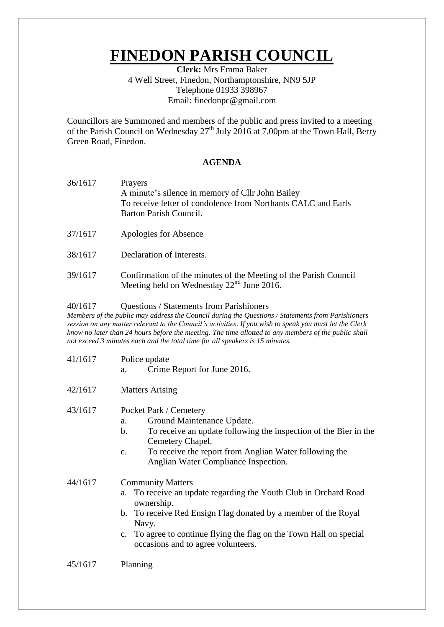# **FINEDON PARISH COUNCIL**

**Clerk:** Mrs Emma Baker 4 Well Street, Finedon, Northamptonshire, NN9 5JP Telephone 01933 398967 Email: finedonpc@gmail.com

Councillors are Summoned and members of the public and press invited to a meeting of the Parish Council on Wednesday  $27<sup>th</sup>$  July 2016 at 7.00pm at the Town Hall, Berry Green Road, Finedon.

### **AGENDA**

- 36/1617 Prayers A minute's silence in memory of Cllr John Bailey To receive letter of condolence from Northants CALC and Earls Barton Parish Council.
- 37/1617 Apologies for Absence
- 38/1617 Declaration of Interests.
- 39/1617 Confirmation of the minutes of the Meeting of the Parish Council Meeting held on Wednesday  $22<sup>nd</sup>$  June 2016.

#### 40/1617 Questions / Statements from Parishioners

*Members of the public may address the Council during the Questions / Statements from Parishioners session on any matter relevant to the Council's activities. If you wish to speak you must let the Clerk know no later than 24 hours before the meeting. The time allotted to any members of the public shall not exceed 3 minutes each and the total time for all speakers is 15 minutes.*

- 41/1617 Police update
	- a. Crime Report for June 2016.
- 42/1617 Matters Arising
- 43/1617 Pocket Park / Cemetery
	- a. Ground Maintenance Update.
	- b. To receive an update following the inspection of the Bier in the Cemetery Chapel.
	- c. To receive the report from Anglian Water following the Anglian Water Compliance Inspection.

44/1617 Community Matters

- a. To receive an update regarding the Youth Club in Orchard Road ownership.
- b. To receive Red Ensign Flag donated by a member of the Royal Navy.
- c. To agree to continue flying the flag on the Town Hall on special occasions and to agree volunteers.
- 45/1617 Planning